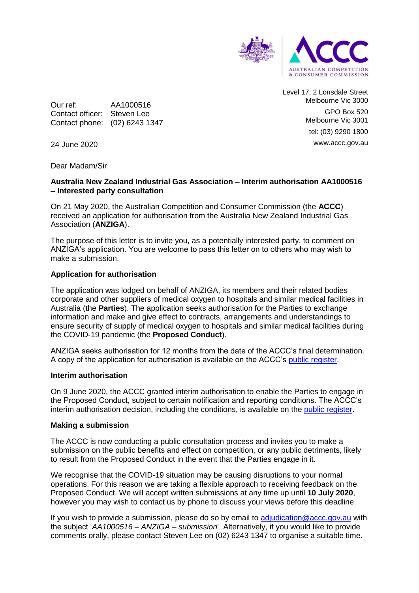

Our ref: AA1000516 Contact officer: Steven Lee Contact phone: (02) 6243 1347 Level 17, 2 Lonsdale Street Melbourne Vic 3000 GPO Box 520 Melbourne Vic 3001 tel: (03) 9290 1800 www.accc.gov.au

24 June 2020

Dear Madam/Sir

# **Australia New Zealand Industrial Gas Association – Interim authorisation AA1000516 – Interested party consultation**

On 21 May 2020, the Australian Competition and Consumer Commission (the **ACCC**) received an application for authorisation from the Australia New Zealand Industrial Gas Association (**ANZIGA**).

The purpose of this letter is to invite you, as a potentially interested party, to comment on ANZIGA's application. You are welcome to pass this letter on to others who may wish to make a submission.

# **Application for authorisation**

The application was lodged on behalf of ANZIGA, its members and their related bodies corporate and other suppliers of medical oxygen to hospitals and similar medical facilities in Australia (the **Parties**). The application seeks authorisation for the Parties to exchange information and make and give effect to contracts, arrangements and understandings to ensure security of supply of medical oxygen to hospitals and similar medical facilities during the COVID-19 pandemic (the **Proposed Conduct**).

ANZIGA seeks authorisation for 12 months from the date of the ACCC's final determination. A copy of the application for authorisation is available on the ACCC's [public register.](https://www.accc.gov.au/public-registers/authorisations-and-notifications-registers/authorisations-register/australia-new-zealand-industrial-gas-association-anziga)

### **Interim authorisation**

On 9 June 2020, the ACCC granted interim authorisation to enable the Parties to engage in the Proposed Conduct, subject to certain notification and reporting conditions. The ACCC's interim authorisation decision, including the conditions, is available on the [public register.](https://www.accc.gov.au/public-registers/authorisations-and-notifications-registers/authorisations-register/australia-new-zealand-industrial-gas-association-anziga)

### **Making a submission**

The ACCC is now conducting a public consultation process and invites you to make a submission on the public benefits and effect on competition, or any public detriments, likely to result from the Proposed Conduct in the event that the Parties engage in it.

We recognise that the COVID-19 situation may be causing disruptions to your normal operations. For this reason we are taking a flexible approach to receiving feedback on the Proposed Conduct. We will accept written submissions at any time up until **10 July 2020**, however you may wish to contact us by phone to discuss your views before this deadline.

If you wish to provide a submission, please do so by email to [adjudication@accc.gov.au](mailto:adjudication@accc.gov.au) with the subject '*AA1000516 – ANZIGA – submission*'. Alternatively, if you would like to provide comments orally, please contact Steven Lee on (02) 6243 1347 to organise a suitable time.